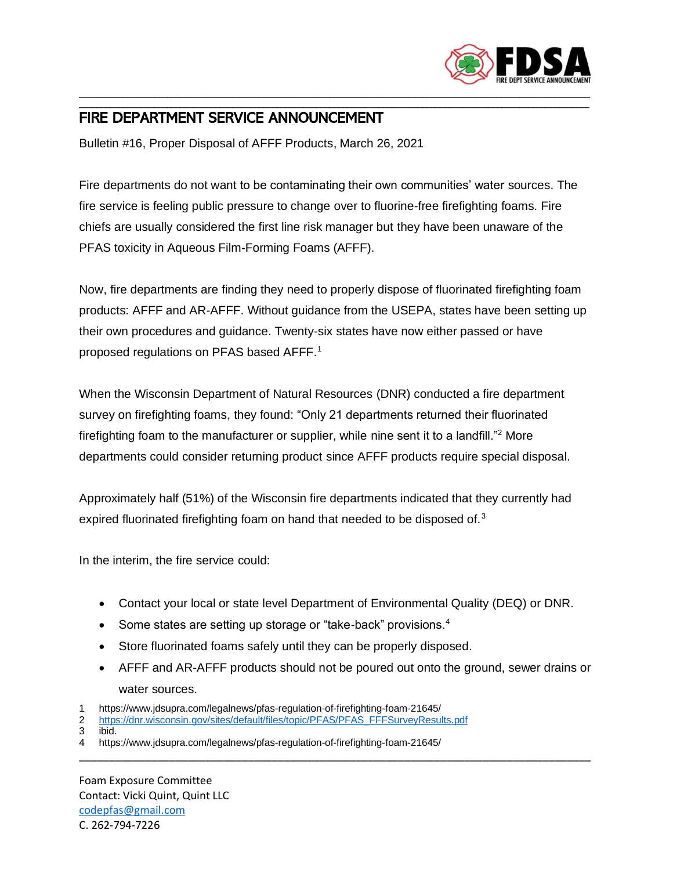

## \_\_\_\_\_\_\_\_\_\_\_\_\_\_\_\_\_\_\_\_\_\_\_\_\_\_\_\_\_\_\_\_\_\_\_\_\_\_\_\_\_\_\_\_\_\_\_\_\_\_\_\_\_\_\_\_\_\_\_\_\_\_\_\_\_\_\_\_\_\_\_\_\_\_\_\_\_\_\_\_\_\_\_\_\_\_\_\_\_\_\_\_\_\_\_\_\_\_\_\_\_\_\_\_\_\_\_\_\_\_\_\_\_\_\_\_ FIRE DEPARTMENT SERVICE ANNOUNCEMENT

Bulletin #16, Proper Disposal of AFFF Products, March 26, 2021

Fire departments do not want to be contaminating their own communities' water sources. The fire service is feeling public pressure to change over to fluorine-free firefighting foams. Fire chiefs are usually considered the first line risk manager but they have been unaware of the PFAS toxicity in Aqueous Film-Forming Foams (AFFF).

\_\_\_\_\_\_\_\_\_\_\_\_\_\_\_\_\_\_\_\_\_\_\_\_\_\_\_\_\_\_\_\_\_\_\_\_\_\_\_\_\_\_\_\_\_\_\_\_\_\_\_\_\_\_\_\_\_\_\_\_\_\_\_\_\_\_\_\_\_\_\_\_\_\_\_\_\_\_\_\_\_\_\_\_\_\_\_\_\_\_\_\_\_\_\_\_\_\_\_\_\_\_\_\_\_\_\_\_\_\_\_\_\_\_\_\_

Now, fire departments are finding they need to properly dispose of fluorinated firefighting foam products: AFFF and AR-AFFF. Without guidance from the USEPA, states have been setting up their own procedures and guidance. Twenty-six states have now either passed or have proposed regulations on PFAS based AFFF.<sup>1</sup>

When the Wisconsin Department of Natural Resources (DNR) conducted a fire department survey on firefighting foams, they found: "Only 21 departments returned their fluorinated firefighting foam to the manufacturer or supplier, while nine sent it to a landfill."<sup>2</sup> More departments could consider returning product since AFFF products require special disposal.

Approximately half (51%) of the Wisconsin fire departments indicated that they currently had expired fluorinated firefighting foam on hand that needed to be disposed of.<sup>3</sup>

In the interim, the fire service could:

- Contact your local or state level Department of Environmental Quality (DEQ) or DNR.
- Some states are setting up storage or "take-back" provisions.<sup>4</sup>
- Store fluorinated foams safely until they can be properly disposed.
- AFFF and AR-AFFF products should not be poured out onto the ground, sewer drains or water sources.

\_\_\_\_\_\_\_\_\_\_\_\_\_\_\_\_\_\_\_\_\_\_\_\_\_\_\_\_\_\_\_\_\_\_\_\_\_\_\_\_\_\_\_\_\_\_\_\_\_\_\_\_\_\_\_\_\_\_\_\_\_\_\_\_\_\_\_\_\_\_\_\_\_\_\_\_\_\_\_\_\_\_\_\_\_

- 1 https://www.jdsupra.com/legalnews/pfas-regulation-of-firefighting-foam-21645/
- 2 [https://dnr.wisconsin.gov/sites/default/files/topic/PFAS/PFAS\\_FFFSurveyResults.pdf](https://dnr.wisconsin.gov/sites/default/files/topic/PFAS/PFAS_FFFSurveyResults.pdf)
- 3 ibid.
- 4 https://www.jdsupra.com/legalnews/pfas-regulation-of-firefighting-foam-21645/

Foam Exposure Committee Contact: Vicki Quint, Quint LLC [codepfas@gmail.com](mailto:codepfas@gmail.com) C. 262-794-7226